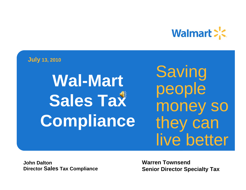

**July 13, 2010**

**Wal-Mart Sales Tax Compliance**

**Saving** people money so they can live better

**John DaltonDirector Sales Tax Compliance** **Warren TownsendSenior Director Specialty Tax**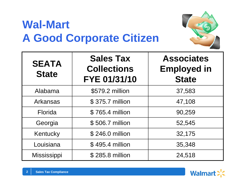#### **Wal-Mart A Good Corporate Citizen**



| <b>SEATA</b><br><b>State</b> | <b>Sales Tax</b><br><b>Collections</b><br>FYE 01/31/10 | <b>Associates</b><br><b>Employed in</b><br><b>State</b> |
|------------------------------|--------------------------------------------------------|---------------------------------------------------------|
| Alabama                      | \$579.2 million                                        | 37,583                                                  |
| <b>Arkansas</b>              | \$375.7 million                                        | 47,108                                                  |
| <b>Florida</b>               | \$765.4 million                                        | 90,259                                                  |
| Georgia                      | \$506.7 million                                        | 52,545                                                  |
| Kentucky                     | \$246.0 million                                        | 32,175                                                  |
| Louisiana                    | \$495.4 million                                        | 35,348                                                  |
| Mississippi                  | \$285.8 million                                        | 24,518                                                  |

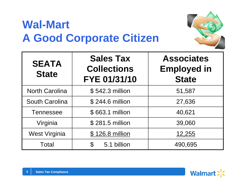#### **Wal-Mart A Good Corporate Citizen**



| <b>SEATA</b><br><b>State</b> | <b>Sales Tax</b><br><b>Collections</b><br>FYE 01/31/10 | <b>Associates</b><br><b>Employed in</b><br><b>State</b> |
|------------------------------|--------------------------------------------------------|---------------------------------------------------------|
| <b>North Carolina</b>        | \$542.3 million                                        | 51,587                                                  |
| <b>South Carolina</b>        | \$244.6 million                                        | 27,636                                                  |
| <b>Tennessee</b>             | \$663.1 million                                        | 40,621                                                  |
| Virginia                     | \$281.5 million                                        | 39,060                                                  |
| <b>West Virginia</b>         | \$126.8 million                                        | 12,255                                                  |
| Total                        | 5.1 billion<br>$\mathfrak{F}$                          | 490,695                                                 |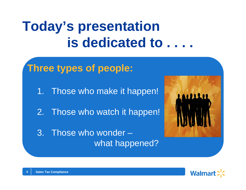# **Today's presentation is dedicated to . . . .**

**Three types of people:** 1. Those who make it happen! 2. Those who watch it happen! 3. Those who wonder –what happened?



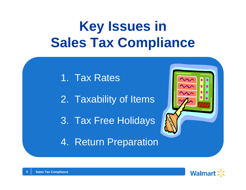# **Key Issues in Sales Tax Compliance**

1. Tax Rates

2. Taxability of Items

3. Tax Free Holidays

4. Return Preparation



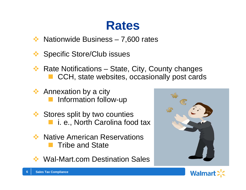#### **Rates**

参 Nationwide Business – 7,600 rates

- **Specific Store/Club issues**
- Rate Notifications – State, City, County changes CCH, state websites, occasionally post cards
- **Annexation by a city** Information follow-up
- **Stores split by two counties** i. e., North Carolina food tax
- Native American Reservations Tribe and State
- Wal-Mart.com Destination Sales



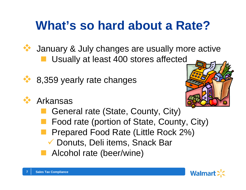## **What's so hard about a Rate?**



 January & July changes are usually more active kan<br>Kabupatèn Usually at least 400 stores affected



8,359 yearly rate changes



- p. General rate (State, County, City)
- Food rate (portion of State, County, City)
- Prepared Food Rate (Little Rock 2%)
	- ✔ Donuts, Deli items, Snack Bar
- Alcohol rate (beer/wine)



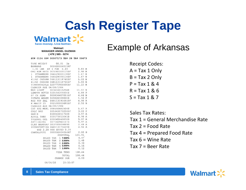### **Cash Register Tape**

**Walmar** 

**MANAGER ANGEL GUZMANWalmart**Save money. Live better.<br>
Walmart Walmart<br>
MANAGER ANGEL GUZMAN **( 479 ) 565 - 0274**

ST# 0124 OP# 00007173 TE# 28 TR# 09673

| TARE WEIGHT                      | $00.01$ 1b              |           |              |   |
|----------------------------------|-------------------------|-----------|--------------|---|
| BANANAS 000000004011KF           |                         |           |              |   |
| 1.31 LBS AT 1 FOR 0.49           |                         |           | 0.64 E       |   |
| ORG ROM HRTS 003260103115SF 2.98 |                         |           |              | E |
| 1 STRAWBERR 066529000118SF       |                         |           | 1.67         | E |
| 1 STRAWBERR 066529000118SF       |                         |           | 1.67         | E |
| 41/60 CKSHRM 068113118760SF      |                         |           | 5.00         | E |
| 41/60 CKSHRM 068113118760SF      |                         |           | 5.00         | E |
| TIPSTKTHINLG 020775900000SF      |                         |           | 11.22        | E |
| CASHIER AGE 04/08/1984           |                         |           |              |   |
| MGD LIGHT                        | 003410015256K           |           | 11.97        | S |
| LEMPPR ROTIS 020154200000S       |                         |           | 4.88         | Ε |
|                                  |                         |           | 4.66         | E |
| POTATO WEDGE 020828100000S       |                         |           | 1.96         | E |
| RED POT SAL 068113191693SF       |                         |           | 4.98         | F |
| K MWHIP 15  002100002693SF       |                         |           | 2.50         | E |
| CASHIER AGE 04/08/1984           |                         |           |              |   |
| CST RDG MERL 008693681504S       |                         |           | 5.47         | F |
| GRLC BRD 005963570250SF          |                         |           | 3.00         | Ε |
| GAS-X                            | 030043011718S           |           | 3.97         | P |
|                                  |                         |           | 8.98         | I |
| TYLENOL GEL 030045048850S        |                         |           | 5.97         | ŀ |
| ANTI-AGING                       | 007560960147S           |           | 5.97         | Ţ |
| OLAY BARSOAP 003700009889S       |                         |           | 2.48         | Ţ |
| HYDROCORTIZO 068113173220S       |                         |           | 4.94         | Į |
|                                  | WAS 2.28 YOU SAVED 0.28 |           |              |   |
| CANTALOUPE                       | 000000004050KF          |           | $2.00$ B     |   |
|                                  |                         | SUBTOTAL  | 101.91       |   |
|                                  | SALES TAX 1 7.500%      |           | 4.47         |   |
|                                  | SALES TAX 2 3.500%      |           | 1.48         |   |
|                                  | SALES TAX               | 4 2.000%  | 0.30         |   |
|                                  | SALES TAX 6 3.000%      |           | 0.16         |   |
|                                  | SALES TAX<br>7          | 1.000%    | 0.12         |   |
|                                  |                         | VISA TEND | 108.44       |   |
|                                  |                         |           | TOTAL 108.44 |   |
|                                  | CHANGE DUE              |           | 0.00         |   |
|                                  |                         |           |              |   |

06/04/10  $15:32:07$ 

Receipt Codes:  $A = Tax 1$  Only  $B = Tax 2 Only$  $P = Tax 1 & 24$  $R = Tax 1 & 6$  $S = Tax 1 & 27$ 

Sales Tax Rates:

Tax 1 = General Merchandise Rate

 $Tax 2 = Food Rate$ 

Tax 4 = Prepared Food Rate

Tax  $6 =$  Wine Rate

Tax 7 = Beer Rate

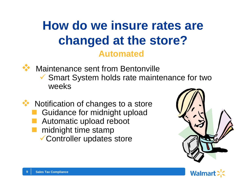#### **How do we insure rates are changed at the store? Automated**



Maintenance sent from Bentonville

 $\checkmark$  Smart System holds rate maintenance for two weeks

◆ Notification of changes to a store Guidance for midnight upload Automatic upload reboot midnight time stamp  $\checkmark$  Controller updates store



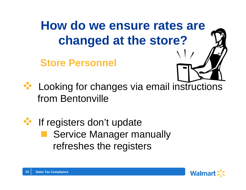## **How do we ensure rates are changed at the store?**

**Store Personnel**





 Looking for changes via email instructions from Bentonville



 If registers don't update Service Manager manually refreshes the registers

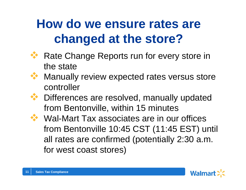## **How do we ensure rates are changed at the store?**



 Rate Change Reports run for every store in the state



- Manually review expected rates versus store controller
- **We Differences are resolved, manually updated** from Bentonville, within 15 minutes
- ◆ Wal-Mart Tax associates are in our offices from Bentonville 10:45 CST (11:45 EST) until all rates are confirmed (potentially 2:30 a.m. for west coast stores)

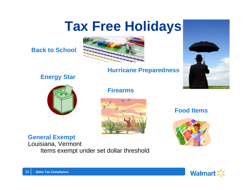# **Tax Free Holidays**



#### **Hurricane Preparedness**

#### **Energy Star**



#### **Firearms**



#### **Food Items**



#### **General Exempt**

Louisiana, Vermont Items exempt under set dollar threshold



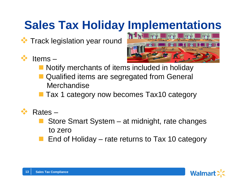## **Sales Tax Holiday Implementations**

Track legislation year round

#### Items –



- **Notify merchants of items included in holiday**
- Qualified items are segregated from General **Merchandise**
- Tax 1 category now becomes Tax10 category
- Rates –
	- Store Smart System at midnight, rate changes to zero
	- End of Holiday rate returns to Tax 10 category

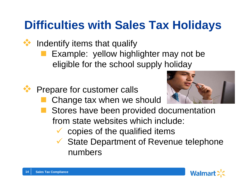#### **Difficulties with Sales Tax Holidays**

- Indentify items that qualify
	- Example: yellow highlighter may not be eligible for the school supply holiday



**Prepare for customer calls** 

Change tax when we should



- Stores have been provided documentation from state websites which include:
	- $\checkmark$  copies of the qualified items
	- $\checkmark$  State Department of Revenue telephone numbers

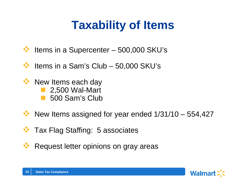## **Taxability of Items**

- Items in a Supercenter – 500,000 SKU's
- $\frac{1}{2}$ Items in a Sam's Club – 50,000 SKU's
- **EXX New Items each day** ■ 2,500 Wal-Mart ■ 500 Sam's Club
- $\bullet\bullet\bullet\bullet\bullet\bullet\bullet\bullet\bullet\bullet\bullet\bullet\bullet$  New Items assigned for year ended  $1/31/10-554,427$
- \*\* Tax Flag Staffing: 5 associates
- Request letter opinions on gray areas

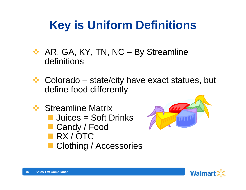### **Key is Uniform Definitions**

- **★ AR, GA, KY, TN, NC By Streamline** definitions
- $\div$  Colorado state/city have exact statues, but define food differently
- **❖ Streamline Matrix ULTARIAN SOFT Drinks** ■ Candy / Food **RX/OTC** ■ Clothing / Accessories



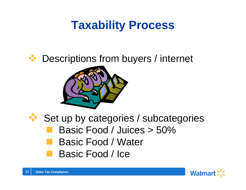### **Taxability Process**

#### Descriptions from buyers / internet





 Set up by categories / subcategories Basic Food / Juices > 50% Basic Food / Water Basic Food / Ice

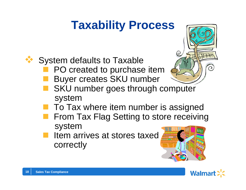### **Taxability Process**



System defaults to Taxable

- PO created to purchase item
- Buyer creates SKU number
- SKU number goes through computer system
- To Tax where item number is assigned
- From Tax Flag Setting to store receiving system
- Item arrives at stores taxed correctly





 $\overline{O}$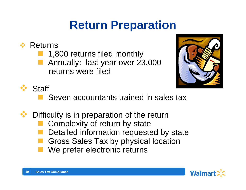### **Return Preparation**

#### **❖ Returns**

- 1,800 returns filed monthly
- Annually: last year over 23,000 returns were filed





Seven accountants trained in sales tax

Difficulty is in preparation of the return

- Complexity of return by state
- Detailed information requested by state
- Gross Sales Tax by physical location
- We prefer electronic returns

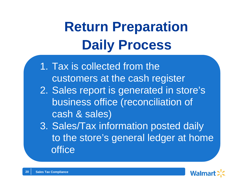# **Daily Process Return Preparation**

- 1. Tax is collected from thecustomers at the cash register
- 2. Sales report is generated in store's business office (reconciliation of cash & sales)
- 3. Sales/Tax information posted daily to the store's general ledger at home office

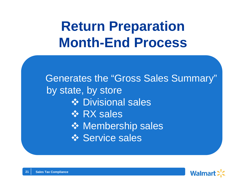# **Return Preparation Month-End Process**

Generates the "Gross Sales Summary" by state, by store **❖ Divisional sales ☆ RX sales ❖ Membership sales ❖ Service sales**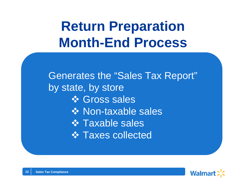# **Return Preparation Month-End Process**

Generates the "Sales Tax Report" by state, by store **❖ Gross sales ❖ Non-taxable sales ❖ Taxable sales ❖ Taxes collected**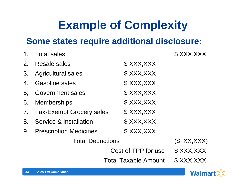### **Example of Complexity**

#### **Some states require additional disclosure:**

| 1 <sub>1</sub>              | <b>Total sales</b>              |             | \$XXX,XXX |
|-----------------------------|---------------------------------|-------------|-----------|
| 2.                          | Resale sales                    | \$XXX,XXX   |           |
| 3.                          | <b>Agricultural sales</b>       | \$XXX,XXX   |           |
| 4.                          | <b>Gasoline sales</b>           | \$ XXX,XXX  |           |
| 5.                          | <b>Government sales</b>         | \$XXX,XXX   |           |
| 6.                          | <b>Memberships</b>              | \$XXX,XXX   |           |
| 7.                          | <b>Tax-Exempt Grocery sales</b> | \$XXX,XXX   |           |
| 8.                          | Service & Installation          | \$XXX,XXX   |           |
| 9.                          | <b>Prescription Medicines</b>   | \$XXX,XXX   |           |
|                             | <b>Total Deductions</b>         | (\$XX,XXX)  |           |
|                             | Cost of TPP for use             | \$ XXX, XXX |           |
| <b>Total Taxable Amount</b> |                                 |             | \$XXX.XXX |

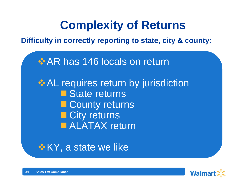#### **Complexity of Returns**

**Difficulty in correctly reporting to state, city & county:**

**AR has 146 locals on return AL requires return by jurisdiction** 

■ State returns **E** County returns ■ City returns ■ ALATAX return

 $\cdot$  **KY**, a state we like

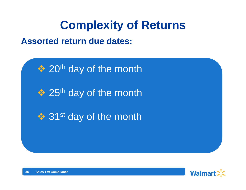#### **Complexity of Returns**

#### **Assorted return due dates:**

❖ 20<sup>th</sup> day of the month ❖ 25<sup>th</sup> day of the month ❖ 31<sup>st</sup> day of the month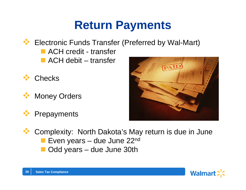### **Return Payments**

- ◆ Electronic Funds Transfer (Preferred by Wal-Mart)
	- ACH credit transfer
	- ACH debit transfer



**26**

Money Orders





 Complexity: North Dakota's May return is due in June **Even years – due June 22nd** ■ Odd years – due June 30th